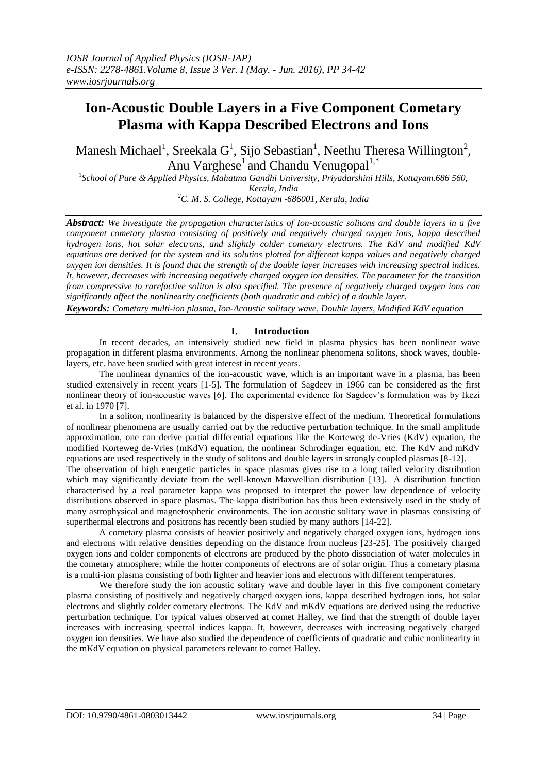# **Ion-Acoustic Double Layers in a Five Component Cometary Plasma with Kappa Described Electrons and Ions**

Manesh Michael<sup>1</sup>, Sreekala G<sup>1</sup>, Sijo Sebastian<sup>1</sup>, Neethu Theresa Willington<sup>2</sup>, Anu Varghese<sup>1</sup> and Chandu Venugopal<sup>1,\*</sup>

1 *School of Pure & Applied Physics, Mahatma Gandhi University, Priyadarshini Hills, Kottayam.686 560, Kerala, India*

*<sup>2</sup>C. M. S. College, Kottayam -686001, Kerala, India*

*Abstract: We investigate the propagation characteristics of Ion-acoustic solitons and double layers in a five component cometary plasma consisting of positively and negatively charged oxygen ions, kappa described hydrogen ions, hot solar electrons, and slightly colder cometary electrons. The KdV and modified KdV equations are derived for the system and its solutios plotted for different kappa values and negatively charged oxygen ion densities. It is found that the strength of the double layer increases with increasing spectral indices. It, however, decreases with increasing negatively charged oxygen ion densities. The parameter for the transition from compressive to rarefactive soliton is also specified. The presence of negatively charged oxygen ions can significantly affect the nonlinearity coefficients (both quadratic and cubic) of a double layer. Keywords: Cometary multi-ion plasma, Ion-Acoustic solitary wave, Double layers, Modified KdV equation*

## **I. Introduction**

In recent decades, an intensively studied new field in plasma physics has been nonlinear wave propagation in different plasma environments. Among the nonlinear phenomena solitons, shock waves, doublelayers, etc. have been studied with great interest in recent years.

The nonlinear dynamics of the ion-acoustic wave, which is an important wave in a plasma, has been studied extensively in recent years [1-5]. The formulation of Sagdeev in 1966 can be considered as the first nonlinear theory of ion-acoustic waves [6]. The experimental evidence for Sagdeev's formulation was by Ikezi et al. in 1970 [7].

In a soliton, nonlinearity is balanced by the dispersive effect of the medium. Theoretical formulations of nonlinear phenomena are usually carried out by the reductive perturbation technique. In the small amplitude approximation, one can derive partial differential equations like the Korteweg de-Vries (KdV) equation, the modified Korteweg de-Vries (mKdV) equation, the nonlinear Schrodinger equation, etc. The KdV and mKdV equations are used respectively in the study of solitons and double layers in strongly coupled plasmas [8-12].

The observation of high energetic particles in space plasmas gives rise to a long tailed velocity distribution which may significantly deviate from the well-known Maxwellian distribution [13]. A distribution function characterised by a real parameter kappa was proposed to interpret the power law dependence of velocity distributions observed in space plasmas. The kappa distribution has thus been extensively used in the study of many astrophysical and magnetospheric environments. The ion acoustic solitary wave in plasmas consisting of superthermal electrons and positrons has recently been studied by many authors [14-22].

A cometary plasma consists of heavier positively and negatively charged oxygen ions, hydrogen ions and electrons with relative densities depending on the distance from nucleus [23-25]. The positively charged oxygen ions and colder components of electrons are produced by the photo dissociation of water molecules in the cometary atmosphere; while the hotter components of electrons are of solar origin. Thus a cometary plasma is a multi-ion plasma consisting of both lighter and heavier ions and electrons with different temperatures.

We therefore study the ion acoustic solitary wave and double layer in this five component cometary plasma consisting of positively and negatively charged oxygen ions, kappa described hydrogen ions, hot solar electrons and slightly colder cometary electrons. The KdV and mKdV equations are derived using the reductive perturbation technique. For typical values observed at comet Halley, we find that the strength of double layer increases with increasing spectral indices kappa. It, however, decreases with increasing negatively charged oxygen ion densities. We have also studied the dependence of coefficients of quadratic and cubic nonlinearity in the mKdV equation on physical parameters relevant to comet Halley.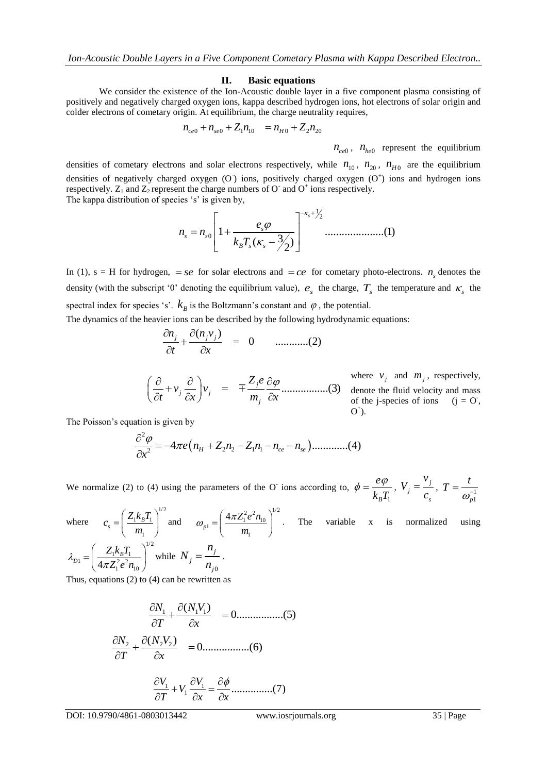### **II. Basic equations**

We consider the existence of the Ion-Acoustic double layer in a five component plasma consisting of positively and negatively charged oxygen ions, kappa described hydrogen ions, hot electrons of solar origin and colder electrons of cometary origin. At equilibrium, the charge neutrality requires,<br> $n_{ce0} + n_{se0} + Z_1 n_{10} = n_{H0} + Z_2 n_{20}$ 

$$
n_{ce0} + n_{se0} + Z_1 n_{10} = n_{H0} + Z_2 n_{20}
$$

 $n_{ce0}$ ,  $n_{he0}$  represent the equilibrium

densities of cometary electrons and solar electrons respectively, while  $n_{10}$ ,  $n_{20}$ ,  $n_{H0}$  are the equilibrium densities of negatively charged oxygen (O) ions, positively charged oxygen (O<sup>+</sup>) ions and hydrogen ions respectively.  $Z_1$  and  $Z_2$  represent the charge numbers of O<sup>-</sup> and O<sup>+</sup> ions respectively. The kappa distribution of species 's' is given by,

ries 's' is given by,  
\n
$$
n_s = n_{s0} \left[ 1 + \frac{e_s \varphi}{k_B T_s (\kappa_s - 3/2)} \right]^{-\kappa_s + \frac{1}{2}} \dots \dots \dots \dots \dots (1)
$$

In (1),  $s = H$  for hydrogen,  $= se$  for solar electrons and  $= ce$  for cometary photo-electrons.  $n<sub>s</sub>$  denotes the density (with the subscript '0' denoting the equilibrium value),  $e_s$  the charge,  $T_s$  the temperature and  $\kappa_s$  the spectral index for species 's'.  $k_B$  is the Boltzmann's constant and  $\varphi$ , the potential.

The dynamics of the heavier ions can be described by the following hydrodynamic equations:<br>  $\frac{\partial n_j}{\partial t} + \frac{\partial (n_j v_j)}{\partial x} = 0$  ...........(2)

$$
\frac{\partial n_j}{\partial t} + \frac{\partial (n_j v_j)}{\partial x} = 0 \qquad \qquad (2)
$$

where 
$$
v_j
$$
 and  $m_j$ , respectively,  
\n
$$
\left(\frac{\partial}{\partial t} + v_j \frac{\partial}{\partial x}\right) v_j = \mp \frac{Z_j e}{m_j} \frac{\partial \varphi}{\partial x}
$$
\n
$$
\begin{array}{ll}\n& \text{where } v_j \text{ and } m_j, \text{ respectively,} \\
& \text{denote the fluid velocity and mass} \\
& \text{of the j-species of ions} \quad (j = 0, 0^+).\n\end{array}
$$

The Poisson's equation is given by

ation is given by  
\n
$$
\frac{\partial^2 \varphi}{\partial x^2} = -4\pi e (n_H + Z_2 n_2 - Z_1 n_1 - n_{ce} - n_{se}) \dots \dots \dots \dots (4)
$$

We normalize (2) to (4) using the parameters of the O<sup>-</sup> ions according to,  $\phi = \frac{c\psi}{k_B T_1}$ *e B*  $\phi = \frac{e\phi}{\sqrt{g}}$ ,  $V_i = \frac{V_j}{V_i}$ *j s v V c*  $=\frac{1}{c}$ ,  $T=\frac{1}{\omega^{-1}}$ *p*1  $T = \frac{t}{\omega_{-1}^{-1}}$ 

where

 $\pi$ 

where 
$$
c_s = \left(\frac{Z_1 k_B T_1}{m_1}\right)^{1/2}
$$
 and  $\omega_{p1} = \left(\frac{4\pi Z_1^2 e^2 n_{10}}{m_1}\right)^{1/2}$ . The variable x is normalized using  
\n
$$
\lambda_{D1} = \left(\frac{Z_1 k_B T_1}{4\pi Z_1^2 e^2 n_{10}}\right)^{1/2}
$$
 while  $N_j = \frac{n_j}{n_{j0}}$ .

Thus, equations (2) to (4) can be rewritten as

1 1 1 ( ) 0.................(5) *N N V T x* 2 2 2 ( ) 0.................(6) *N N V T x* 1 1 1 ...............(7) *V V <sup>V</sup> T x x* 

0

*j*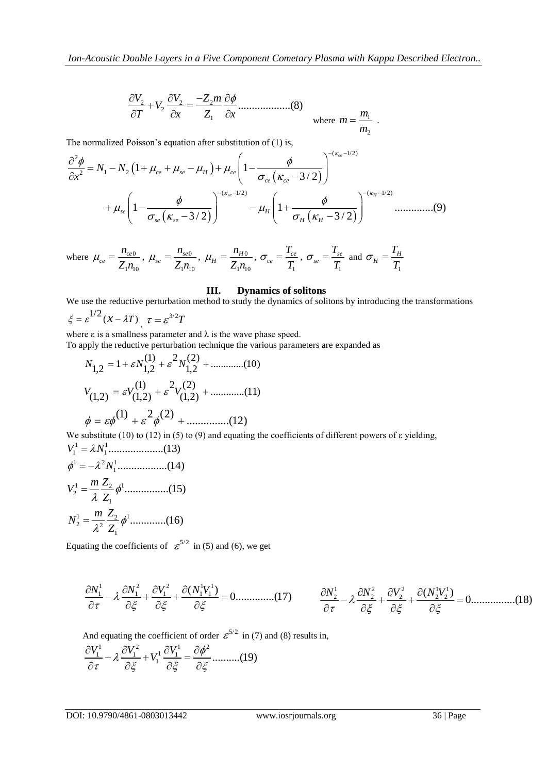$$
\frac{\partial V_2}{\partial T} + V_2 \frac{\partial V_2}{\partial x} = \frac{-Z_2 m}{Z_1} \frac{\partial \phi}{\partial x} \dots \dots \dots \dots \dots (8)
$$
  
where  $m = \frac{m_1}{m_2}$ .

The normalized Poisson's equation after substitution of (1) is,

$$
\frac{\partial T}{\partial x} = \frac{\partial x}{\partial x} \qquad \text{where } m = \frac{m_1}{m_2}.
$$
  
The normalized Poisson's equation after substitution of (1) is,  

$$
\frac{\partial^2 \phi}{\partial x^2} = N_1 - N_2 \left( 1 + \mu_{ce} + \mu_{se} - \mu_H \right) + \mu_{ce} \left( 1 - \frac{\phi}{\sigma_{ce} \left( \kappa_{ce} - 3/2 \right)} \right)^{-(\kappa_{ce} - 1/2)} + \mu_{se} \left( 1 - \frac{\phi}{\sigma_{se} \left( \kappa_{se} - 3/2 \right)} \right)^{-(\kappa_{se} - 1/2)} - \mu_H \left( 1 + \frac{\phi}{\sigma_H \left( \kappa_H - 3/2 \right)} \right)^{-(\kappa_H - 1/2)} \dots
$$
(9)

where  $\mu_{ce} = \frac{n_{ce0}}{n}$  $1'$ <sup>1</sup>0  $c_e = \frac{n_{ce}}{7}$ *n*  $Z_1$ *n*  $\mu_{ce} = \frac{n_{ce0}}{7}$ ,  $\mu_{se} = \frac{n_{se0}}{7}$  $1^{\prime}$ <sup>10</sup>  $\frac{R}{se} = \frac{R}{Z}$ *n*  $Z_1$ *n*  $\mu_{se} = \frac{n_{se0}}{7}$ ,  $\mu_{H} = \frac{n_{H0}}{7}$  $1'$ <sup>1</sup>0  $\mu_H = \frac{n_H}{Z}$ *n*  $Z_1$ *n*  $\mu_{H}=\frac{n_{H0}}{\sigma},$ 1  $c_e = \frac{I_{ce}}{T}$ *T T*  $\sigma_{ce} = \frac{1}{\pi},$ 1  $s_e = \frac{I_{se}}{T}$ *T T*  $\sigma_{se} = \frac{1}{\pi}$  and 1  $H = \frac{I_H}{T}$ *T T*  $\sigma_{\scriptscriptstyle H} =$ 

## **III. Dynamics of solitons**

We use the reductive perturbation method to study the dynamics of solitons by introducing the transformations  $\xi = \varepsilon^{1/2} (x - \lambda T)$ ,  $\tau = \varepsilon^{3/2} T$ 

where  $\varepsilon$  is a smallness parameter and  $\lambda$  is the wave phase speed.

To apply the reductive perturbation technique the various parameters are expanded as<br>  $N = 1 + \varepsilon N^{(1)} + \varepsilon^2 N^{(2)} +$  (10)

$$
N_{1,2} = 1 + \varepsilon N_{1,2}^{(1)} + \varepsilon^2 N_{1,2}^{(2)} + \dots \dots \dots (10)
$$
  

$$
V_{(1,2)} = \varepsilon V_{(1,2)}^{(1)} + \varepsilon^2 V_{(1,2)}^{(2)} + \dots \dots \dots (11)
$$
  

$$
\phi = \varepsilon \phi^{(1)} + \varepsilon^2 \phi^{(2)} + \dots \dots \dots (12)
$$

We substitute (10) to (12) in (5) to (9) and equating the coefficients of different powers of ε yielding, 1 1 *V N* ....................(13) 1 2 1  $V^1 = 2 N^1$ 

<sup>1</sup> *<sup>N</sup>* ..................(14) 1 1 <sup>2</sup> 2 1 ................(15) *<sup>m</sup> <sup>Z</sup> V Z* 1 1 <sup>2</sup> 2 2 1 .............(16) *<sup>m</sup> <sup>Z</sup> N Z* 

Equating the coefficients of  $\mathcal{E}^{5/2}$  in (5) and (6), we get

$$
\frac{\partial N_1^1}{\partial \tau} - \lambda \frac{\partial N_1^2}{\partial \xi} + \frac{\partial V_1^2}{\partial \xi} + \frac{\partial (N_1^1 V_1^1)}{\partial \xi} = 0 \dots \dots \dots \dots (17) \qquad \frac{\partial N_2^1}{\partial \tau} - \lambda \frac{\partial N_2^2}{\partial \xi} + \frac{\partial V_2^2}{\partial \xi} + \frac{\partial (N_2^1 V_2^1)}{\partial \xi} = 0 \dots \dots \dots \dots (18)
$$

And equating the coefficient of order 
$$
\varepsilon^{5/2}
$$
 in (7) and (8) results in,  
\n
$$
\frac{\partial V_1^1}{\partial \tau} - \lambda \frac{\partial V_1^2}{\partial \xi} + V_1^1 \frac{\partial V_1^1}{\partial \xi} = \frac{\partial \phi^2}{\partial \xi} \dots \dots \dots (19)
$$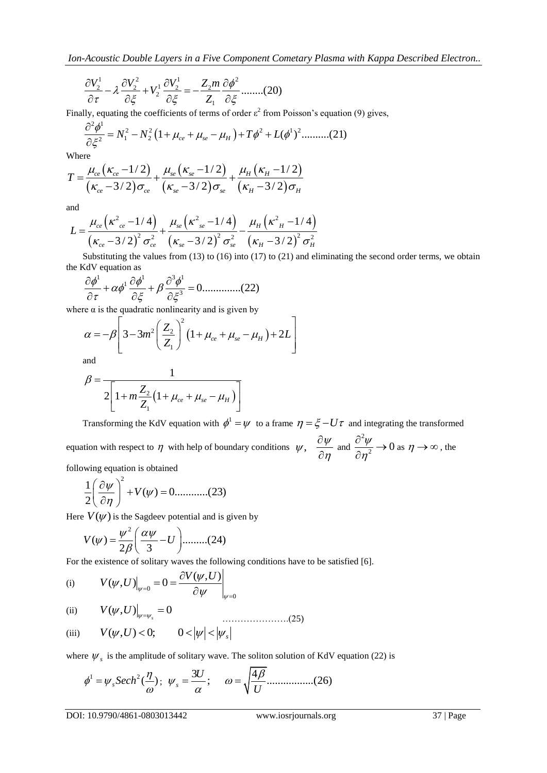$$
\frac{\partial V_2^1}{\partial \tau} - \lambda \frac{\partial V_2^2}{\partial \xi} + V_2^1 \frac{\partial V_2^1}{\partial \xi} = -\frac{Z_2 m}{Z_1} \frac{\partial \phi^2}{\partial \xi}
$$
........(20)

Finally, equating the coefficients of terms of order 
$$
\varepsilon^2
$$
 from Poisson's equation (9) gives,  
\n
$$
\frac{\partial^2 \phi^1}{\partial \xi^2} = N_1^2 - N_2^2 \left( 1 + \mu_{ce} + \mu_{se} - \mu_H \right) + T \phi^2 + L(\phi^1)^2 \dots \dots \dots (21)
$$

Where

$$
\partial \xi^2
$$
  
Where  

$$
T = \frac{\mu_{ce}(\kappa_{ce} - 1/2)}{(\kappa_{ce} - 3/2)\sigma_{ce}} + \frac{\mu_{se}(\kappa_{se} - 1/2)}{(\kappa_{se} - 3/2)\sigma_{se}} + \frac{\mu_H(\kappa_H - 1/2)}{(\kappa_H - 3/2)\sigma_H}
$$

and

and  
\n
$$
L = \frac{\mu_{ce} (\kappa_{ce}^2 - 1/4)}{(\kappa_{ce} - 3/2)^2 \sigma_{ce}^2} + \frac{\mu_{se} (\kappa_{se}^2 - 1/4)}{(\kappa_{se} - 3/2)^2 \sigma_{se}^2} - \frac{\mu_H (\kappa_{H}^2 - 1/4)}{(\kappa_{H} - 3/2)^2 \sigma_{H}^2}
$$

Substituting the values from (13) to (16) into (17) to (21) and eliminating the second order terms, we obtain

the KdV equation as  
\n
$$
\frac{\partial \phi^1}{\partial \tau} + \alpha \phi^1 \frac{\partial \phi^1}{\partial \xi} + \beta \frac{\partial^3 \phi^1}{\partial \xi^3} = 0
$$
\n(22)

where 
$$
\alpha
$$
 is the quadratic nonlinearity and is given by  
\n
$$
\alpha = -\beta \left[ 3 - 3m^2 \left( \frac{Z_2}{Z_1} \right)^2 \left( 1 + \mu_{ce} + \mu_{se} - \mu_H \right) + 2L \right]
$$

and

$$
\beta = \frac{1}{2\left[1 + m\frac{Z_2}{Z_1}\left(1 + \mu_{ce} + \mu_{se} - \mu_H\right)\right]}
$$

1

Transforming the KdV equation with  $\phi^1 = \psi$  to a frame  $\eta = \xi - U\tau$  and integrating the transformed

 $\frac{\partial V_1}{\partial T} = \lambda \frac{\partial V_1}{\partial \xi} = V_1' \frac{\partial V_2}{\partial \xi} = -\frac{Z_1 m}{\xi} \frac{\partial \phi^2}{\partial \xi}$ <br>
Example, equation to coefficients of forms of exists of eleven if ones on the source of pages and the set of the set of the set of the set of th equation with respect to  $\eta$  with help of boundary conditions  $\psi$ ,  $\frac{\partial \psi}{\partial \eta}$  $\eta$  $\partial$  $\frac{\partial \eta}{\partial \eta}$  and 2  $\frac{\psi}{n^2} \rightarrow 0$  $\eta$  $\frac{\partial^2 \psi}{\partial x \partial y} \rightarrow$  $\frac{\partial \varphi}{\partial \eta^2} \to 0$  as  $\eta \to \infty$ , the

following equation is obtained  
\n
$$
\frac{1}{2} \left( \frac{\partial \psi}{\partial \eta} \right)^2 + V(\psi) = 0 \dots \dots \dots \dots (23)
$$

Here 
$$
V(\psi)
$$
 is the Sagedeev potential and is given by  
\n
$$
V(\psi) = \frac{\psi^2}{2\beta} \left(\frac{\alpha\psi}{3} - U\right) \dots \dots \dots (24)
$$

For the existence of solitary waves the following conditions have to be satisfied [6].  
\n(i) 
$$
V(\psi, U)\Big|_{\psi=0} = 0 = \frac{\partial V(\psi, U)}{\partial \psi}\Big|_{\psi=0}
$$

(ii) 
$$
V(\psi, U)|_{\psi = \psi_s} = 0
$$
 (25)

(iii) 
$$
V(\psi, U) < 0;
$$
  $0 < |\psi| < |\psi_s|$ 

where 
$$
\psi_s
$$
 is the amplitude of solitary wave. The soliton solution of KdV equation (22) is  
\n
$$
\phi^1 = \psi_s Sech^2(\frac{\eta}{\omega}); \ \ \psi_s = \frac{3U}{\alpha}; \qquad \omega = \sqrt{\frac{4\beta}{U}} \dots \dots \dots \dots (26)
$$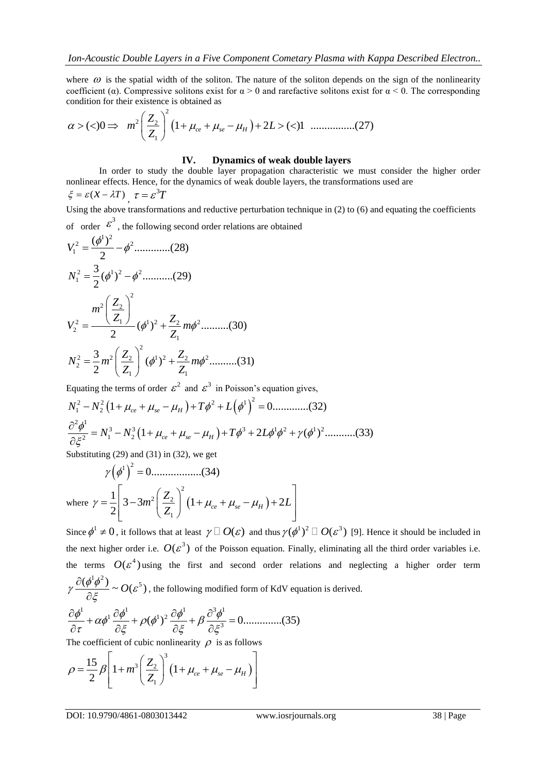where  $\omega$  is the spatial width of the soliton. The nature of the soliton depends on the sign of the nonlinearity condition for their existence is obtained as that width of the so<br>pressive solitons ex-<br>sistence is obtained<br> $\left(\frac{Z_2}{Z}\right)^2 \left(1+\mu_{ce}+\mu_{ce}\right)$ 

coefficient (α). Compressive solitons exist for α > 0 and rarefactive solitons exist for α < 0. The corresponding ( )0 1 2 ( )1 ................(27) *ce se H m L* 2 2 2 1 *Z Z* 

## **IV. Dynamics of weak double layers**

In order to study the double layer propagation characteristic we must consider the higher order nonlinear effects. Hence, for the dynamics of weak double layers, the transformations used are

$$
\xi = \varepsilon (x - \lambda T), \ \tau = \varepsilon^3 T
$$

Using the above transformations and reductive perturbation technique in (2) to (6) and equating the coefficients

of order 
$$
\mathcal{E}^3
$$
, the following second order relations are obtained  
\n
$$
V_1^2 = \frac{(\phi^1)^2}{2} - \phi^2 \dots \dots \dots (28)
$$
\n
$$
N_1^2 = \frac{3}{2}(\phi^1)^2 - \phi^2 \dots \dots (29)
$$
\n
$$
V_2^2 = \frac{m^2 \left(\frac{Z_2}{Z_1}\right)^2}{2} (\phi^1)^2 + \frac{Z_2}{Z_1} m \phi^2 \dots \dots (30)
$$
\n
$$
N_2^2 = \frac{3}{2} m^2 \left(\frac{Z_2}{Z}\right)^2 (\phi^1)^2 + \frac{Z_2}{Z} m \phi^2 \dots \dots (31)
$$

$$
N_2^2 = \frac{3}{2} m^2 \left(\frac{Z_2}{Z_1}\right)^2 (\phi^1)^2 + \frac{Z_2}{Z_1} m \phi^2 \dots \dots \dots (31)
$$

Equating the terms of order 
$$
\varepsilon^2
$$
 and  $\varepsilon^3$  in Poisson's equation gives,  
\n
$$
N_1^2 - N_2^2 (1 + \mu_{ce} + \mu_{se} - \mu_H) + T\phi^2 + L(\phi^1)^2 = 0
$$
\n
$$
\frac{\partial^2 \phi^1}{\partial \xi^2} = N_1^3 - N_2^3 (1 + \mu_{ce} + \mu_{se} - \mu_H) + T\phi^3 + 2L\phi^1 \phi^2 + \gamma (\phi^1)^2
$$
\n(33)

Substituting (29) and (31) in (32), we get

 2 1 0..................(34) where 2 2 2 1 1 3 3 1 2 2 *ce se H Z m L Z* 

Since  $\phi^1 \neq 0$ , it follows that at least  $\gamma \Box O(\varepsilon)$  and thus  $\gamma(\phi^1)^2 \Box O(\varepsilon^3)$  [9]. Hence it should be included in the next higher order i.e.  $O(\varepsilon^3)$  of the Poisson equation. Finally, eliminating all the third order variables i.e. the terms  $O(\varepsilon^4)$  using the first and second order relations and neglecting a higher order term  $\gamma \frac{\partial (\phi^1 \phi^2)}{\partial \zeta} \sim O(\varepsilon^5)$  $\partial$ 

$$
\gamma \frac{\partial (\phi + \psi)}{\partial \xi} \sim O(\varepsilon^3)
$$
, the following modified form of KdV equation is derived.  
\n
$$
\frac{\partial \phi^1}{\partial \tau} + \alpha \phi^1 \frac{\partial \phi^1}{\partial \xi} + \rho (\phi^1)^2 \frac{\partial \phi^1}{\partial \xi} + \beta \frac{\partial^3 \phi^1}{\partial \xi^3} = 0
$$
.............(35)  
\nThe coefficient of cubic nonlinearity,  $O$  is as follows

The coefficient of cubic nonlinearity  $\rho$  is as follows

The coefficient of cubic nonlinearity 
$$
\rho
$$
 is as follows  
\n
$$
\rho = \frac{15}{2} \beta \left[ 1 + m^3 \left( \frac{Z_2}{Z_1} \right)^3 \left( 1 + \mu_{ce} + \mu_{se} - \mu_H \right) \right]
$$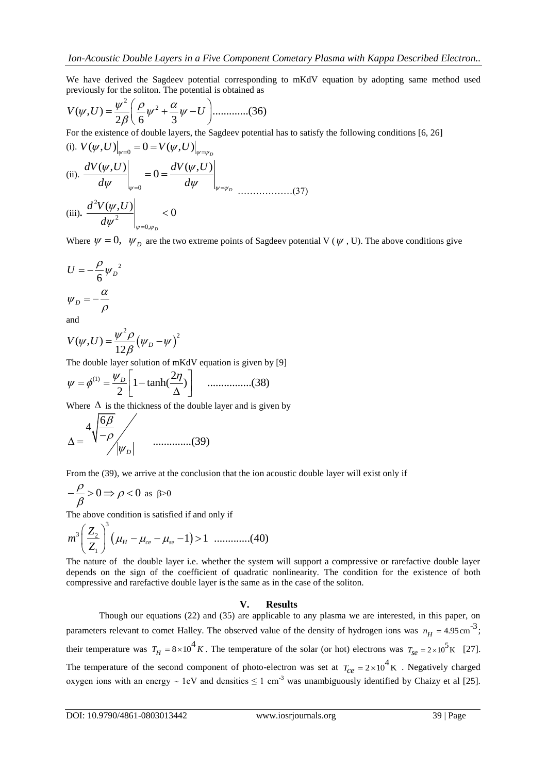We have derived the Sagdeev potential corresponding to mKdV equation by adopting same method used

previously for the soliton. The potential is obtained as  
\n
$$
V(\psi, U) = \frac{\psi^2}{2\beta} \left( \frac{\rho}{6} \psi^2 + \frac{\alpha}{3} \psi - U \right) \dots \dots \dots \dots (36)
$$

For the existence of double layers, the Sagedeev potential has to satisfy the following conditions [6, 26]  
\n(i). 
$$
V(\psi, U)|_{\psi=0} = 0 = V(\psi, U)|_{\psi=\psi_D}
$$
  
\n(ii). 
$$
\frac{dV(\psi, U)}{d\psi}\Big|_{\psi=0} = 0 = \frac{dV(\psi, U)}{d\psi}\Big|_{\psi=\psi_D}
$$
\n(37)  
\n(iii). 
$$
\frac{d^2V(\psi, U)}{d\psi^2}\Big|_{\psi=0,\psi_D} < 0
$$

Where  $\psi = 0$ ,  $\psi_D$  are the two extreme points of Sagdeev potential V ( $\psi$ , U). The above conditions give

$$
U = -\frac{\rho}{6} {\psi_D}^2
$$

$$
\psi_D = -\frac{\alpha}{\rho}
$$

and

$$
V(\psi, U) = \frac{\psi^2 \rho}{12 \beta} (\psi_D - \psi)^2
$$

The double layer solution of mKdV equation is given by [9]  
\n
$$
\psi = \phi^{(1)} = \frac{\psi_D}{2} \left[ 1 - \tanh(\frac{2\eta}{\Delta}) \right] \quad \dots \dots \dots \dots \dots (38)
$$

Where  $\Delta$  is the thickness of the double layer and is given by

$$
\Delta = \frac{4\sqrt{\frac{6\beta}{-\rho}}}{|\psi_D|}
$$
 ....... (39)

From the (39), we arrive at the conclusion that the ion acoustic double layer will exist only if

$$
-\frac{\rho}{\beta} > 0 \Rightarrow \rho < 0 \text{ as } \beta > 0
$$

The above condition is satisfied if and only if  
\n
$$
m^3 \left(\frac{Z_2}{Z_1}\right)^3 \left(\mu_H - \mu_{ce} - \mu_{se} - 1\right) > 1 \quad \dots \dots \dots \dots (40)
$$

The nature of the double layer i.e. whether the system will support a compressive or rarefactive double layer depends on the sign of the coefficient of quadratic nonlinearity. The condition for the existence of both compressive and rarefactive double layer is the same as in the case of the soliton.

## **V. Results**

Though our equations (22) and (35) are applicable to any plasma we are interested, in this paper, on parameters relevant to comet Halley. The observed value of the density of hydrogen ions was  $n_H = 4.95 \text{ cm}^{-3}$ ; their temperature was  $T_H = 8 \times 10^4 K$ . The temperature of the solar (or hot) electrons was  $T_{se} = 2 \times 10^5 K$  [27]. The temperature of the second component of photo-electron was set at  $T_{ce} = 2 \times 10^4$  K. Negatively charged oxygen ions with an energy ~ 1eV and densities  $\leq 1$  cm<sup>-3</sup> was unambiguously identified by Chaizy et al [25].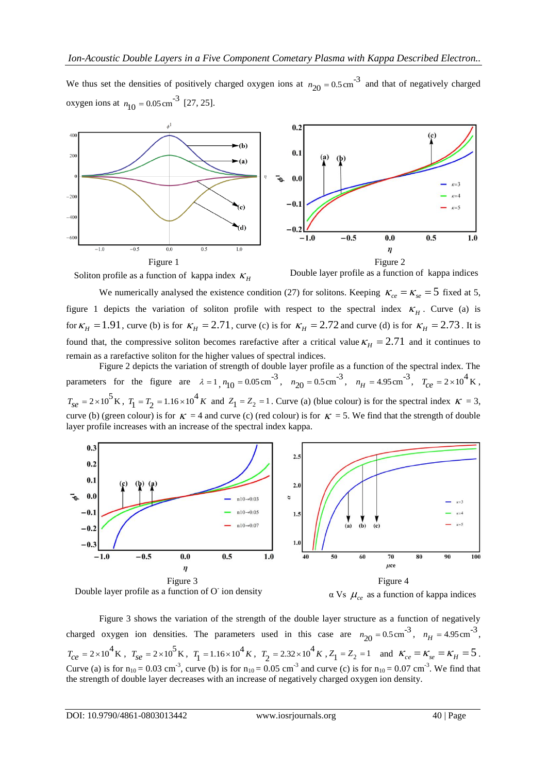We thus set the densities of positively charged oxygen ions at  $n_{20} = 0.5 \text{ cm}^{-3}$  and that of negatively charged oxygen ions at  $n_{10} = 0.05 \text{ cm}^{-3}$  [27, 25].







We numerically analysed the existence condition (27) for solitons. Keeping  $\kappa_{ce} = \kappa_{se} = 5$  fixed at 5, figure 1 depicts the variation of soliton profile with respect to the spectral index  $\kappa$ <sub>H</sub>. Curve (a) is for  $\kappa_H = 1.91$ , curve (b) is for  $\kappa_H = 2.71$ , curve (c) is for  $\kappa_H = 2.72$  and curve (d) is for  $\kappa_H = 2.73$ . It is found that, the compressive soliton becomes rarefactive after a critical value  $\kappa_H = 2.71$  and it continues to remain as a rarefactive soliton for the higher values of spectral indices.

Figure 2 depicts the variation of strength of double layer profile as a function of the spectral index. The parameters for the figure are  $\lambda = 1$ ,  $n_{10} = 0.05 \text{ cm}^{-3}$ ,  $n_{20} = 0.5 \text{ cm}^{-3}$ ,  $n_H = 4.95 \text{ cm}^{-3}$ ,  $T_{ce} = 2 \times 10^4 \text{ K}$ ,  $T_{\text{S}e} = 2 \times 10^5 \text{ K}$ ,  $T_1 = T_2 = 1.16 \times 10^4 K$  and  $Z_1 = Z_2 = 1$ . Curve (a) (blue colour) is for the spectral index  $K = 3$ , curve (b) (green colour) is for  $K = 4$  and curve (c) (red colour) is for  $K = 5$ . We find that the strength of double layer profile increases with an increase of the spectral index kappa.







Figure 3 shows the variation of the strength of the double layer structure as a function of negatively charged oxygen ion densities. The parameters used in this case are  $n_{20} = 0.5 \text{ cm}^{-3}$ ,  $n_H = 4.95 \text{ cm}^{-3}$ ,  $T_{ce} = 2 \times 10^4$  K,  $T_{se} = 2 \times 10^5$  K,  $T_1 = 1.16 \times 10^4$  K,  $T_2 = 2.32 \times 10^4$  K,  $Z_1 = Z_2 = 1$  and  $K_{ce} = K_{se} = K_H = 5$ . Curve (a) is for  $n_{10} = 0.03$  cm<sup>-3</sup>, curve (b) is for  $n_{10} = 0.05$  cm<sup>-3</sup> and curve (c) is for  $n_{10} = 0.07$  cm<sup>-3</sup>. We find that the strength of double layer decreases with an increase of negatively charged oxygen ion density.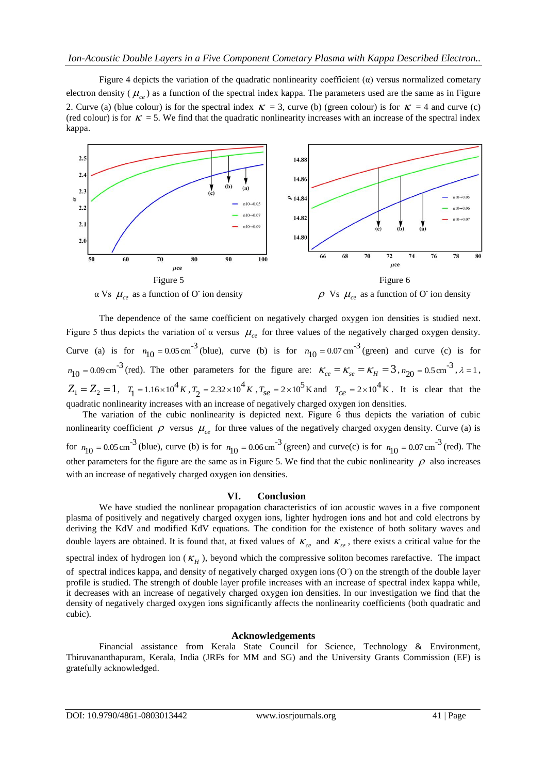Figure 4 depicts the variation of the quadratic nonlinearity coefficient  $(\alpha)$  versus normalized cometary electron density ( $\mu_{ce}$ ) as a function of the spectral index kappa. The parameters used are the same as in Figure 2. Curve (a) (blue colour) is for the spectral index  $\kappa = 3$ , curve (b) (green colour) is for  $\kappa = 4$  and curve (c) (red colour) is for  $K = 5$ . We find that the quadratic nonlinearity increases with an increase of the spectral index kappa.



The dependence of the same coefficient on negatively charged oxygen ion densities is studied next. Figure 5 thus depicts the variation of  $\alpha$  versus  $\mu_{ce}$  for three values of the negatively charged oxygen density. Curve (a) is for  $n_{10} = 0.05 \text{ cm}^{-3}$  (blue), curve (b) is for  $n_{10} = 0.07 \text{ cm}^{-3}$  (green) and curve (c) is for  $n_{10} = 0.09 \text{ cm}^{-3}$  (red). The other parameters for the figure are:  $\kappa_{ce} = \kappa_{se} = \kappa_H = 3$ ,  $n_{20} = 0.5 \text{ cm}^{-3}$ ,  $\lambda = 1$ ,  $Z_1 = Z_2 = 1$ ,  $T_1 = 1.16 \times 10^4 K$ ,  $T_2 = 2.32 \times 10^4 K$ ,  $T_{se} = 2 \times 10^5 K$  and  $T_{ce} = 2 \times 10^4 K$ . It is clear that the quadratic nonlinearity increases with an increase of negatively charged oxygen ion densities.

The variation of the cubic nonlinearity is depicted next. Figure 6 thus depicts the variation of cubic nonlinearity coefficient  $\rho$  versus  $\mu_{ce}$  for three values of the negatively charged oxygen density. Curve (a) is for  $n_{10} = 0.05 \text{ cm}^{-3}$  (blue), curve (b) is for  $n_{10} = 0.06 \text{ cm}^{-3}$  (green) and curve(c) is for  $n_{10} = 0.07 \text{ cm}^{-3}$  (red). The other parameters for the figure are the same as in Figure 5. We find that the cubic nonlinearity  $\rho$  also increases

with an increase of negatively charged oxygen ion densities.

# **VI. Conclusion**

We have studied the nonlinear propagation characteristics of ion acoustic waves in a five component plasma of positively and negatively charged oxygen ions, lighter hydrogen ions and hot and cold electrons by deriving the KdV and modified KdV equations. The condition for the existence of both solitary waves and double layers are obtained. It is found that, at fixed values of  $\kappa_{ce}$  and  $\kappa_{se}$ , there exists a critical value for the spectral index of hydrogen ion  $(K_H)$ , beyond which the compressive soliton becomes rarefactive. The impact of spectral indices kappa, and density of negatively charged oxygen ions (O ) on the strength of the double layer profile is studied. The strength of double layer profile increases with an increase of spectral index kappa while, it decreases with an increase of negatively charged oxygen ion densities. In our investigation we find that the density of negatively charged oxygen ions significantly affects the nonlinearity coefficients (both quadratic and cubic).

# **Acknowledgements**

Financial assistance from Kerala State Council for Science, Technology & Environment, Thiruvananthapuram, Kerala, India (JRFs for MM and SG) and the University Grants Commission (EF) is gratefully acknowledged.